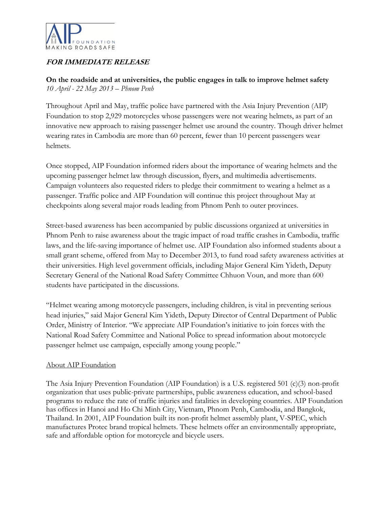

## **FOR IMMEDIATE RELEASE**

**On the roadside and at universities, the public engages in talk to improve helmet safety** *10 April - 22 May 2013 – Phnom Penh*

Throughout April and May, traffic police have partnered with the Asia Injury Prevention (AIP) Foundation to stop 2,929 motorcycles whose passengers were not wearing helmets, as part of an innovative new approach to raising passenger helmet use around the country. Though driver helmet wearing rates in Cambodia are more than 60 percent, fewer than 10 percent passengers wear helmets.

Once stopped, AIP Foundation informed riders about the importance of wearing helmets and the upcoming passenger helmet law through discussion, flyers, and multimedia advertisements. Campaign volunteers also requested riders to pledge their commitment to wearing a helmet as a passenger. Traffic police and AIP Foundation will continue this project throughout May at checkpoints along several major roads leading from Phnom Penh to outer provinces.

Street-based awareness has been accompanied by public discussions organized at universities in Phnom Penh to raise awareness about the tragic impact of road traffic crashes in Cambodia, traffic laws, and the life-saving importance of helmet use. AIP Foundation also informed students about a small grant scheme, offered from May to December 2013, to fund road safety awareness activities at their universities. High level government officials, including Major General Kim Yideth, Deputy Secretary General of the National Road Safety Committee Chhuon Voun, and more than 600 students have participated in the discussions.

"Helmet wearing among motorcycle passengers, including children, is vital in preventing serious head injuries," said Major General Kim Yideth, Deputy Director of Central Department of Public Order, Ministry of Interior. "We appreciate AIP Foundation's initiative to join forces with the National Road Safety Committee and National Police to spread information about motorcycle passenger helmet use campaign, especially among young people."

## About AIP Foundation

The Asia Injury Prevention Foundation (AIP Foundation) is a U.S. registered 501 (c)(3) non-profit organization that uses public-private partnerships, public awareness education, and school-based programs to reduce the rate of traffic injuries and fatalities in developing countries. AIP Foundation has offices in Hanoi and Ho Chi Minh City, Vietnam, Phnom Penh, Cambodia, and Bangkok, Thailand. In 2001, AIP Foundation built its non-profit helmet assembly plant, V-SPEC, which manufactures Protec brand tropical helmets. These helmets offer an environmentally appropriate, safe and affordable option for motorcycle and bicycle users.